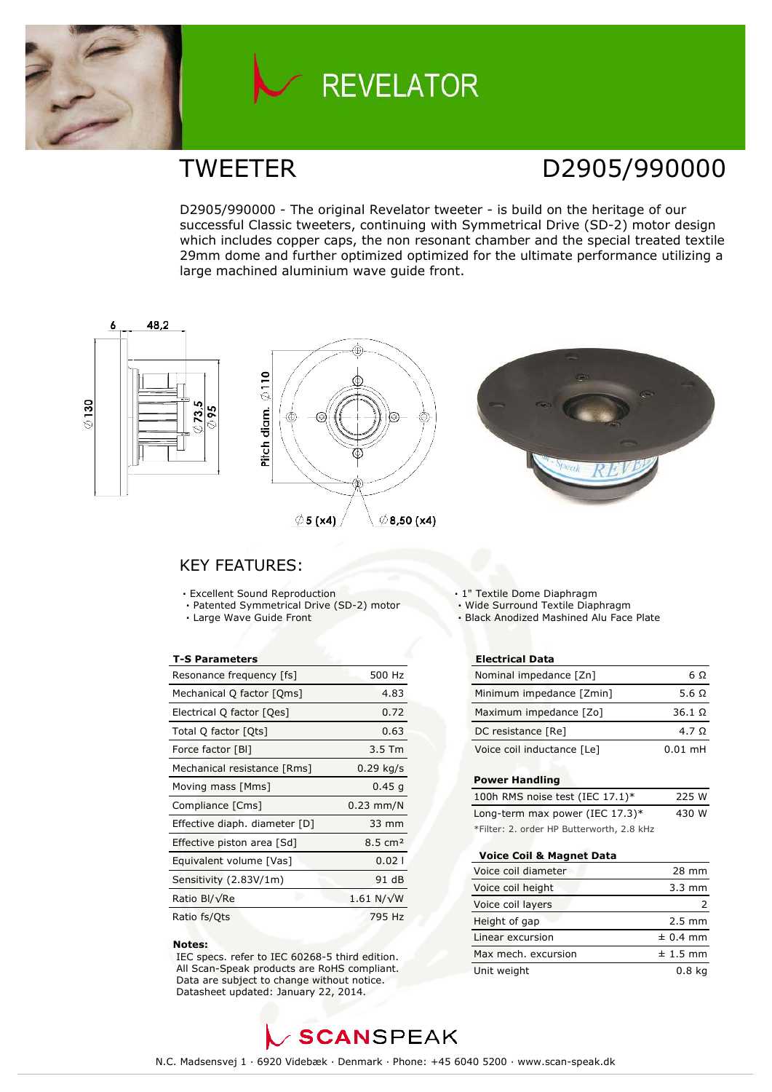

# **REVELATOR**

### TWEETER D2905/990000

D2905/990000 - The original Revelator tweeter - is build on the heritage of our successful Classic tweeters, continuing with Symmetrical Drive (SD-2) motor design which includes copper caps, the non resonant chamber and the special treated textile 29mm dome and further optimized optimized for the ultimate performance utilizing a large machined aluminium wave guide front.



### KEY FEATURES:

- **·** Excellent Sound Reproduction
- **·** Patented Symmetrical Drive (SD-2) motor
- **·** Large Wave Guide Front

### **T-S Parameters**

| Resonance frequency [fs]      | 500 Hz             |
|-------------------------------|--------------------|
| Mechanical Q factor [Qms]     | 4.83               |
| Electrical Q factor [Qes]     | 0.72               |
| Total Q factor [Qts]          | 0.63               |
| Force factor [BI]             | $3.5$ Tm           |
| Mechanical resistance [Rms]   | $0.29$ kg/s        |
| Moving mass [Mms]             | 0.45q              |
| Compliance [Cms]              | $0.23$ mm/N        |
| Effective diaph. diameter [D] | 33 mm              |
| Effective piston area [Sd]    | $8.5 \text{ cm}^2$ |
| Equivalent volume [Vas]       | 0.021              |
| Sensitivity (2.83V/1m)        | 91 dB              |
| Ratio Bl/√Re                  | 1.61 $N/\sqrt{W}$  |
| Ratio fs/Ots                  | 795 Hz             |

#### **Notes:**

 IEC specs. refer to IEC 60268-5 third edition. All Scan-Speak products are RoHS compliant. Data are subject to change without notice. Datasheet updated: January 22, 2014.

- **·** 1" Textile Dome Diaphragm
- **·** Wide Surround Textile Diaphragm
- **·** Black Anodized Mashined Alu Face Plate

### **Electrical Data**

| Nominal impedance [Zn]     | 6Ω            |
|----------------------------|---------------|
| Minimum impedance [Zmin]   | 5.6 $\Omega$  |
| Maximum impedance [Zo]     | $36.1 \Omega$ |
| DC resistance [Re]         | 4.7 Q         |
| Voice coil inductance [Le] | $0.01$ mH     |

### **Power Handling**

| 100h RMS noise test (IEC $17.1$ )*        | 225 W |
|-------------------------------------------|-------|
| Long-term max power (IEC $17.3$ )*        | 430 W |
| *Filter: 2. order HP Butterworth, 2.8 kHz |       |

#### **Voice Coil & Magnet Data**

| Voice coil diameter | 28 mm            |
|---------------------|------------------|
| Voice coil height   | $3.3 \text{ mm}$ |
| Voice coil layers   |                  |
| Height of gap       | $2.5 \text{ mm}$ |
| Linear excursion    | $± 0.4$ mm       |
| Max mech. excursion | $± 1.5$ mm       |
| Unit weight         | 0.8 <sub>k</sub> |